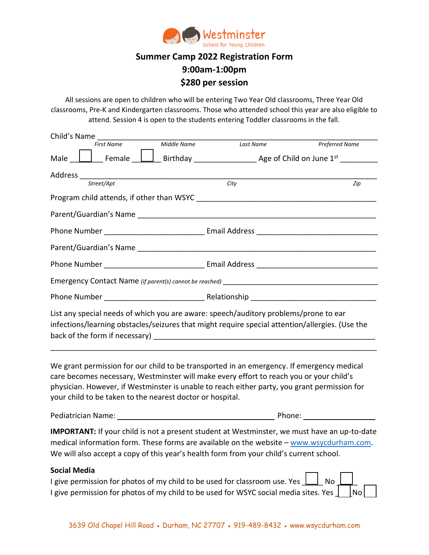

## **Summer Camp 2022 Registration Form 9:00am-1:00pm \$280 per session**

All sessions are open to children who will be entering Two Year Old classrooms, Three Year Old classrooms, Pre-K and Kindergarten classrooms. Those who attended school this year are also eligible to attend. Session 4 is open to the students entering Toddler classrooms in the fall.

| Child's Name                                                                                                                                                                                                                                                                                                                                      |             |           |                       |  |
|---------------------------------------------------------------------------------------------------------------------------------------------------------------------------------------------------------------------------------------------------------------------------------------------------------------------------------------------------|-------------|-----------|-----------------------|--|
| <b>First Name</b>                                                                                                                                                                                                                                                                                                                                 | Middle Name | Last Name | <b>Preferred Name</b> |  |
|                                                                                                                                                                                                                                                                                                                                                   |             |           |                       |  |
|                                                                                                                                                                                                                                                                                                                                                   |             |           |                       |  |
| Street/Apt                                                                                                                                                                                                                                                                                                                                        |             | City      | Zip                   |  |
|                                                                                                                                                                                                                                                                                                                                                   |             |           |                       |  |
|                                                                                                                                                                                                                                                                                                                                                   |             |           |                       |  |
|                                                                                                                                                                                                                                                                                                                                                   |             |           |                       |  |
|                                                                                                                                                                                                                                                                                                                                                   |             |           |                       |  |
|                                                                                                                                                                                                                                                                                                                                                   |             |           |                       |  |
|                                                                                                                                                                                                                                                                                                                                                   |             |           |                       |  |
|                                                                                                                                                                                                                                                                                                                                                   |             |           |                       |  |
| List any special needs of which you are aware: speech/auditory problems/prone to ear<br>infections/learning obstacles/seizures that might require special attention/allergies. (Use the                                                                                                                                                           |             |           |                       |  |
| We grant permission for our child to be transported in an emergency. If emergency medical<br>care becomes necessary, Westminster will make every effort to reach you or your child's<br>physician. However, if Westminster is unable to reach either party, you grant permission for<br>your child to be taken to the nearest doctor or hospital. |             |           |                       |  |
|                                                                                                                                                                                                                                                                                                                                                   |             |           |                       |  |
| <b>IMPORTANT:</b> If your child is not a present student at Westminster, we must have an up-to-date<br>medical information form. These forms are available on the website - www.wsycdurham.com.<br>We will also accept a copy of this year's health form from your child's current school.                                                        |             |           |                       |  |
| Social Media<br>I give permission for photos of my child to be used for classroom use. Yes<br>I give permission for photos of my child to be used for WSYC social media sites. Yes $\rfloor$                                                                                                                                                      |             |           | No<br>No              |  |